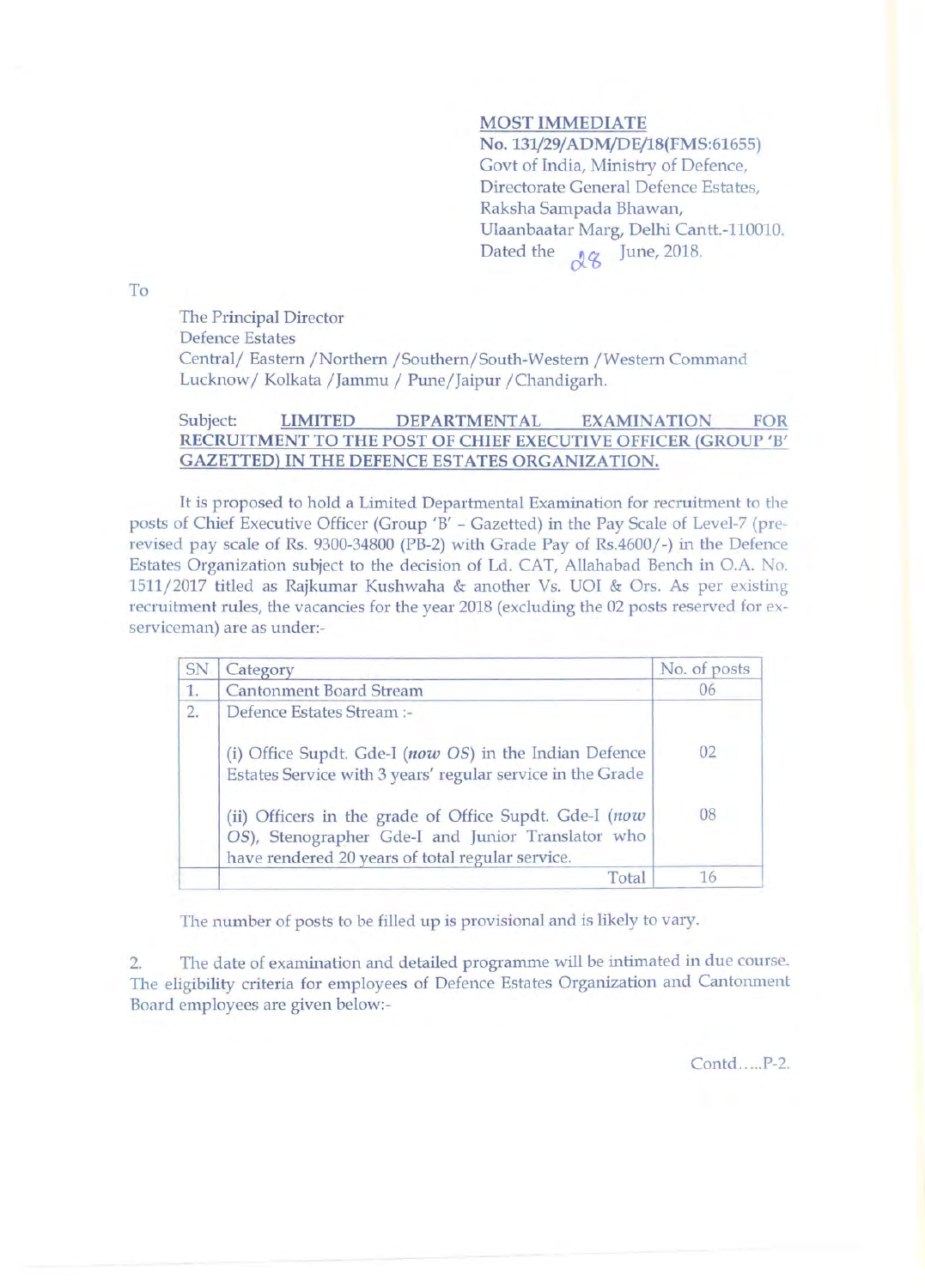# **MOST IMMEDIATE**

No. **131/29/ADM/DE/18(FMS:61655)**  Govt of India, Ministry of Defence, Directorate General Defence Estates, Raksha Sampada Bhawan, Ulaanbaatar Marg, Delhi Cantt.-110010. Dated the  $\sqrt{g}$  June, 2018.

To

The Principal Director Defence Estates Central/ Eastern /Northern /Southern/South-Western /Western Command Lucknow/Kolkata /Jammu / Pune/Jaipur /Chandigarh.

## Subject: **LIMITED DEPARTMENTAL EXAMINATION FOR RECRUITMENT TO THE POST OF CHIEF EXECUTIVE OFFICER (GROUP 'B' GAZETTED) IN THE DEFENCE ESTATES ORGANIZATION.**

It is proposed to hold a Limited Departmental Examination for recruitment to the posts of Chief Executive Officer (Group 'B' - Gazetted) in the Pay Scale of Level-7 (prerevised pay scale of Rs. 9300-34800 (PB-2) with Grade Pay of Rs.4600/-) in the Defence Estates Organization subject to the decision of Ld. CAT, Allahabad Bench in O.A. No. 1511/2017 titled as Rajkumar Kushwaha & another Vs. UOI & Ors. As per existing recruitment rules, the vacancies for the year 2018 (excluding the 02 posts reserved for exserviceman) are as under:-

| SN | Category                                                                                                                                                        | No. of posts |
|----|-----------------------------------------------------------------------------------------------------------------------------------------------------------------|--------------|
| 1. | <b>Cantonment Board Stream</b>                                                                                                                                  | 06           |
| 2. | Defence Estates Stream :-                                                                                                                                       |              |
|    | (i) Office Supdt. Gde-I (now OS) in the Indian Defence<br>Estates Service with 3 years' regular service in the Grade                                            | 02           |
|    |                                                                                                                                                                 | 08           |
|    | (ii) Officers in the grade of Office Supdt. Gde-I (now<br>OS), Stenographer Gde-I and Junior Translator who<br>have rendered 20 years of total regular service. |              |
|    | Total                                                                                                                                                           | 16           |

The number of posts to be filled up is provisional and is likely to vary.

2. The date of examination and detailed programme will be intimated in due course. The eligibility criteria for employees of Defence Estates Organization and Cantonment Board employees are given below:-

Contd.....P-2.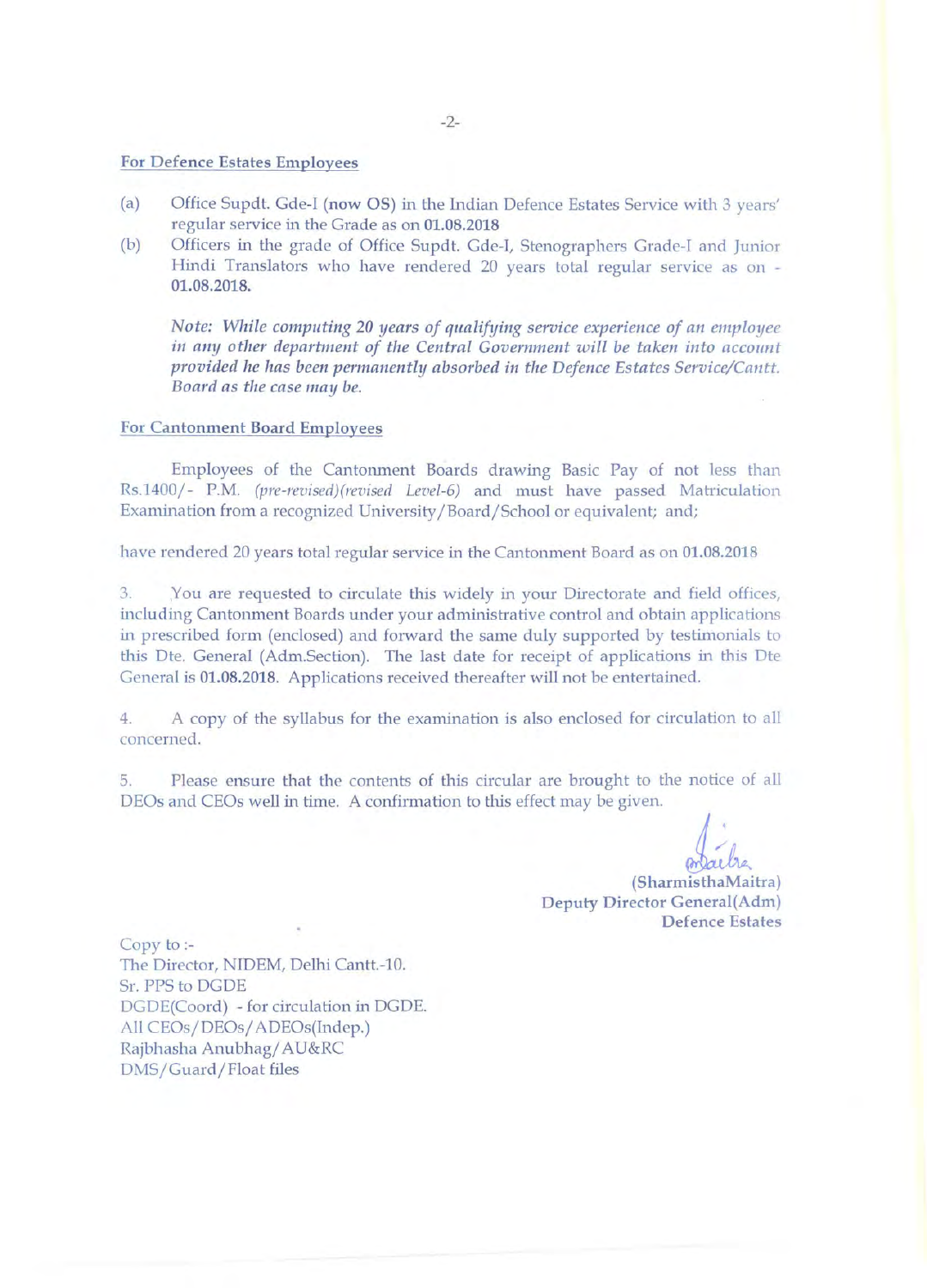#### For Defence Estates Employees

- (a) Office Supdt. Gde-I (now OS) in the Indian Defence Estates Service with 3 years' regular service in the Grade as on 01.08.2018
- (b) Officers in the grade of Office Supdt. Gde-I, Stenographers Grade-I and Junior Hindi Translators who have rendered 20 years total regular service as on - 01.08.2018.

*Note: While computing 20 years of qualifying service experience of an employee*  in any other department of the Central Government will be taken into account *provided he has been permanently absorbed in the Defence Estates Service/Cantt.* Board as the case may be.

### For Cantonment Board Employees

Employees of the Cantomnent Boards drawing Basic Pay of not Jess than Rs.1400/- P.M. *(pre-revised)(revised Level-6)* and must have passed Matriculation Examination from a recognized University /Board/School or equivalent; and;

have rendered 20 years total regular service in the Cantonment Board as on 01.08.2018

3. You are requested to circulate this widely in your Directorate and field offices, including Cantonment Boards under your administrative control and obtain applications in prescribed form (enclosed) and forward the same duly supported by testimonials to this Dte. General (Adm.Section). The last date for receipt of applications in this Dte General is 01.08.2018. Applications received thereafter will not be entertained.

4. A copy of the syllabus for the examination is also enclosed for circulation to all concerned.

5. Please ensure that the contents of this circular are brought to the notice of all DEOs and CEOs well in time. A confirmation to this effect may be given.

ven.<br> **indica**<br>
(SharmisthaMaitra) Deputy Director General(Adm) Defence Estates

Copy to:- The Director, NIDEM, Delhi Cantt.-10. Sr. PPS to DGDE DGDE(Coord) - for circulation in DGDE. All CEOs/DEOs/ ADEOs(Indep.) Rajbhasha Anubhag/ AU&RC DMS/Guard/Float files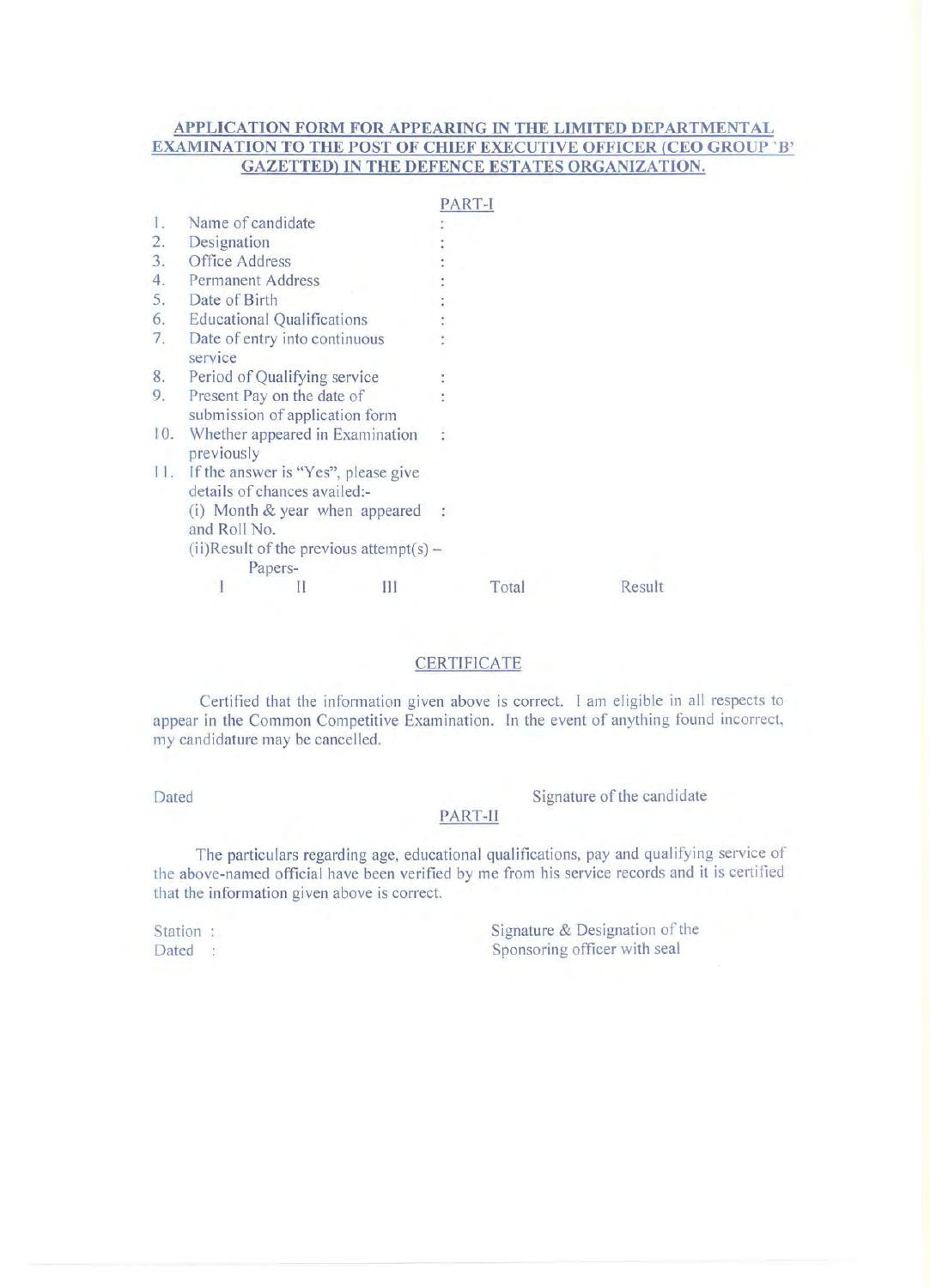# **APPLICATION FORM FOR APPEARING IN THE LIMITED DEPARTMENTAL EXAMINATION TO THE POST OF CHIEF EXECUTIVE OFFICER (CEO GROUP 'B' GAZETTED) IN THE DEFENCE ESTATES ORGANIZATION.**

|     |                                                                         |                               |   |  | PART-I |        |  |  |
|-----|-------------------------------------------------------------------------|-------------------------------|---|--|--------|--------|--|--|
| 1.  | Name of candidate                                                       |                               |   |  |        |        |  |  |
| 2.  | Designation                                                             |                               |   |  |        |        |  |  |
| 3.  | Office Address                                                          |                               |   |  |        |        |  |  |
| 4.  | <b>Permanent Address</b>                                                |                               |   |  |        |        |  |  |
| 5.  | Date of Birth                                                           |                               |   |  |        |        |  |  |
| 6.  | <b>Educational Qualifications</b>                                       |                               |   |  |        |        |  |  |
| 7.  | service                                                                 | Date of entry into continuous |   |  |        |        |  |  |
| 8.  | Period of Qualifying service                                            |                               |   |  |        |        |  |  |
| 9.  | Present Pay on the date of<br>submission of application form            |                               |   |  |        |        |  |  |
| 10. | Whether appeared in Examination<br>previously                           |                               |   |  |        |        |  |  |
|     | 11. If the answer is "Yes", please give<br>details of chances availed:- |                               |   |  |        |        |  |  |
|     | (i) Month $&$ year when appeared<br>and Roll No.                        |                               |   |  |        |        |  |  |
|     | $(ii)$ Result of the previous attempt(s) –<br>Papers-                   |                               |   |  |        |        |  |  |
|     |                                                                         |                               | Ш |  | Total  | Result |  |  |

# CERTIFICATE

Certified that the information given above is correct. I am eligible in all respects to appear in the Common Competitive Examination. In the event of anything found incorrect, my candidature may be cancelled.

Dated Signature of the candidate

#### PART-II

The particulars regarding age, educational qualifications, pay and qualifying service of the above-named official have been verified by me from his service records and it is certified that the information given above is correct.

Station: Dated : Signature  $&$  Designation of the Sponsoring officer with seal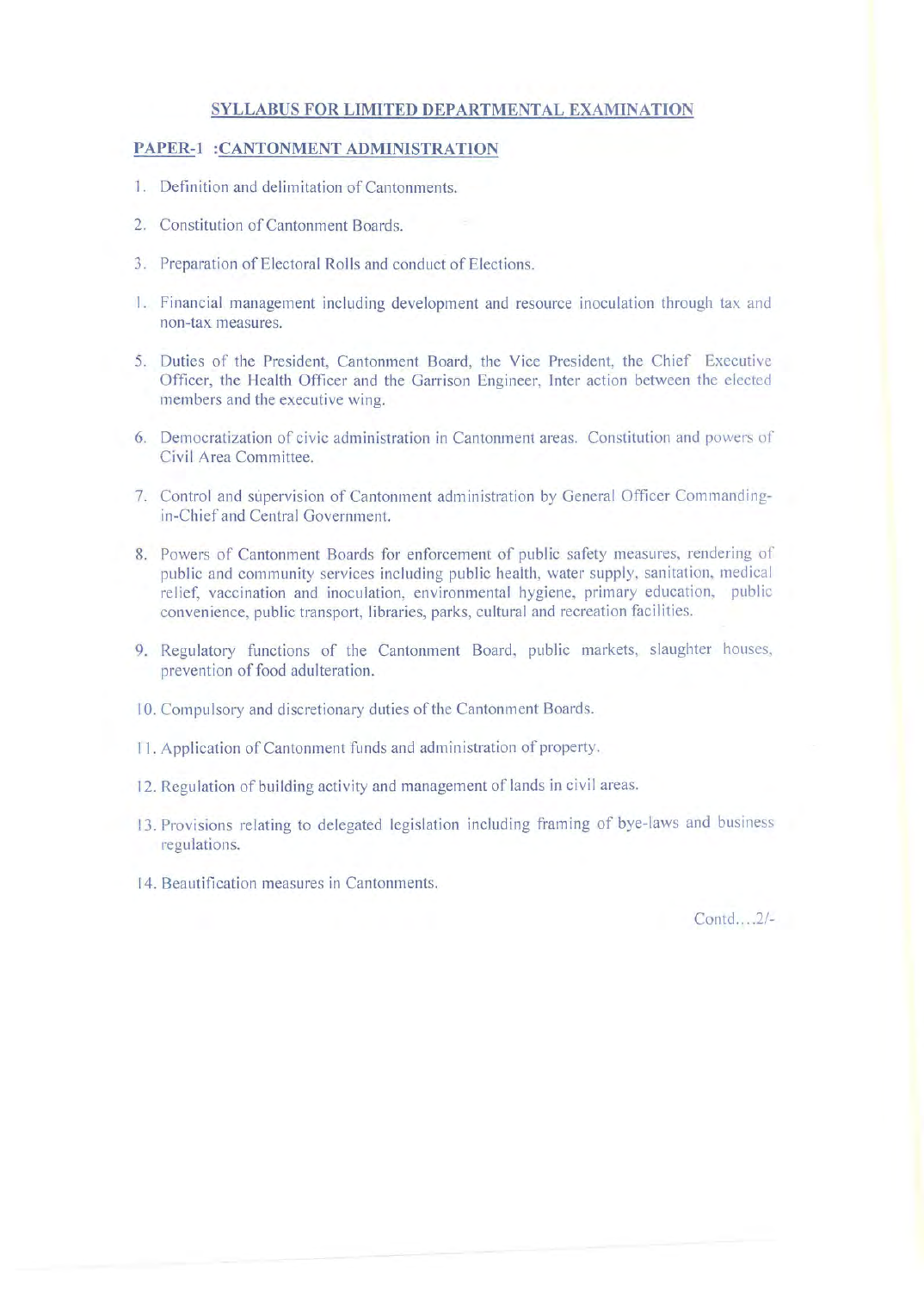## **SYLLABUS FOR LIMITED DEPARTMENTAL EXAMINATION**

## **PAPER-I :CANTONMENT ADMINISTRATION**

- 1. Definition and delimitation of Cantonments.
- 2. Constitution of Cantonment Boards.
- 3. Preparation of Electoral Rolls and conduct of Elections.
- 1. Financial management including development and resource inoculation through tax and non-tax measures.
- 5. Duties of the President, Cantonment Board, the Vice President, the Chief Executive Officer, the Health Officer and the Garrison Engineer, Inter action between the elected members and the executive wing.
- 6. Democratization of civic administration in Cantonment areas. Constitution and powers of Civil Area Committee.
- 7. Control and supervision of Cantonment administration by General Officer Commandingin-Chief and Central Government.
- 8. Powers of Cantonment Boards for enforcement of public safety measures, rendering of public and community services including public health, water supply, sanitation, medical relief, vaccination and inoculation, environmental hygiene, primary education, public convenience, public transport, libraries, parks, cultural and recreation facilities.
- 9. Regulatory functions of the Cantonment Board, public markets, slaughter houses, prevention of food adulteration.
- 10. Compulsory and discretionary duties of the Cantonment Boards.
- 11. Application of Cantonment funds and administration of property.
- 12. Regulation of building activity and management of lands in civil areas.
- 13. Provisions relating to delegated legislation including framing of bye-laws and business regulations.
- 14. Beautification measures in Cantonments.

Contd....2/-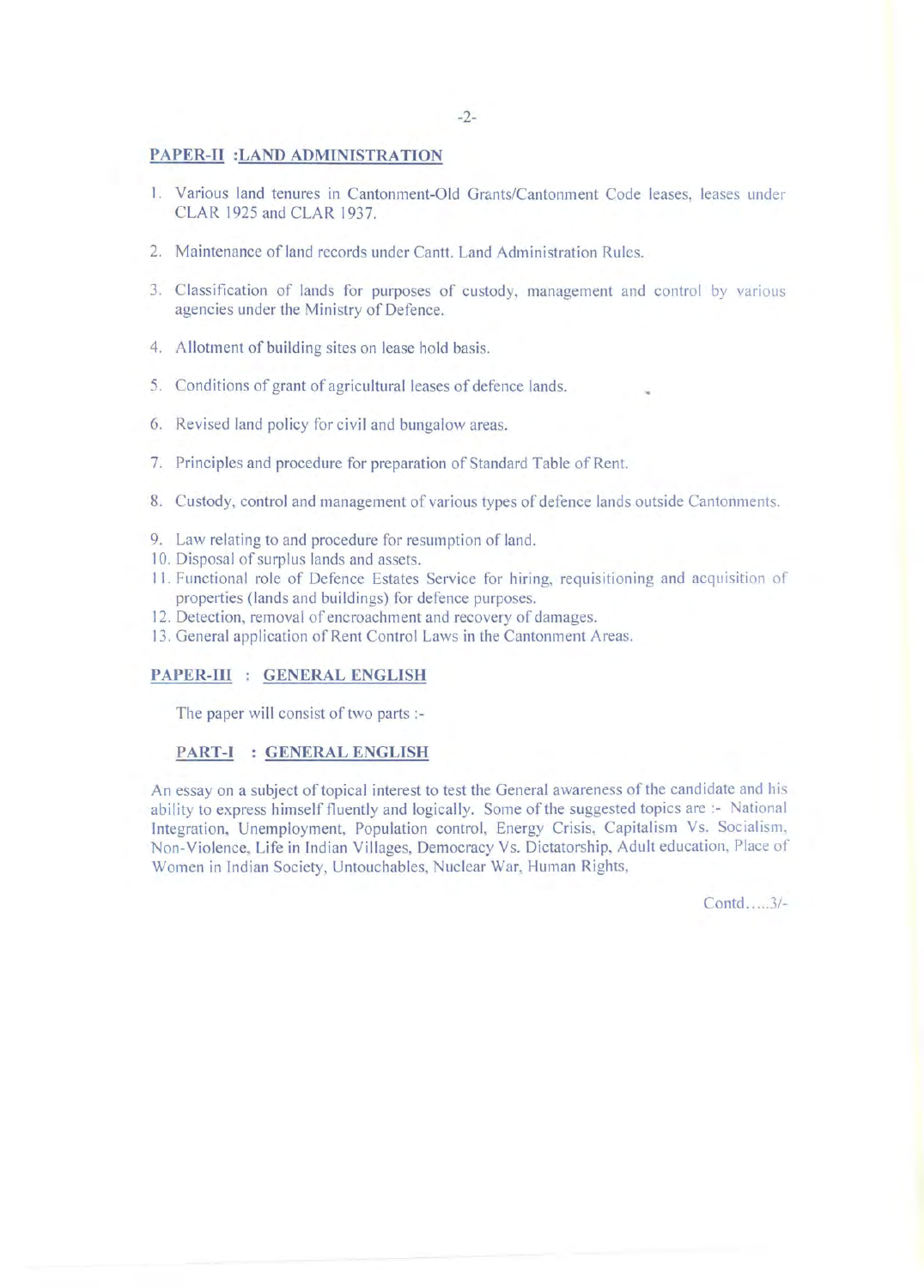### **PAPER-II :LAND ADMINISTRATION**

- I. Various land tenures in Cantonment-Old Grants/Cantonment Code leases, leases under CLAR 1925 and CLAR 1937.
- 2. Maintenance of land records under Cantt. Land Administration Rules.
- 3. Classification of lands for purposes of custody, management and control by vanous agencies under the Ministry of Defence.
- 4. Allotment of building sites on lease hold basis.
- 5. Conditions of grant of agricultural leases of defence lands.
- 6. Revised land policy for civil and bungalow areas.
- 7. Principles and procedure for preparation of Standard Table of Rent.
- 8. Custody, control and management of various types of defence lands outside Cantonments.
- 9. Law relating to and procedure for resumption of land.
- 10. Disposal of surplus lands and assets.
- II . Functional role of Defence Estates Service for hiring, requisitioning and acquisition of properties (lands and buildings) for defence purposes.
- 12. Detection, removal of encroachment and recovery of damages.
- 13. General application of Rent Control Laws in the Cantonment Areas.

## **PAPER-III : GENERAL ENGLISH**

The paper will consist of two parts:-

## **PART-I : GENERAL ENGLISH**

An essay on a subject of topical interest to test the General awareness of the candidate and his ability to express himself fluently and logically. Some of the suggested topics are :- National Integration, Unemployment, Population control, Energy Crisis, Capitalism Vs. Socialism, Non-Violence, Life in Indian Villages, Democracy Vs. Dictatorship, Adult education, Place of Women in Indian Society, Untouchables, Nuclear War, Human Rights,

Contd .... 3/-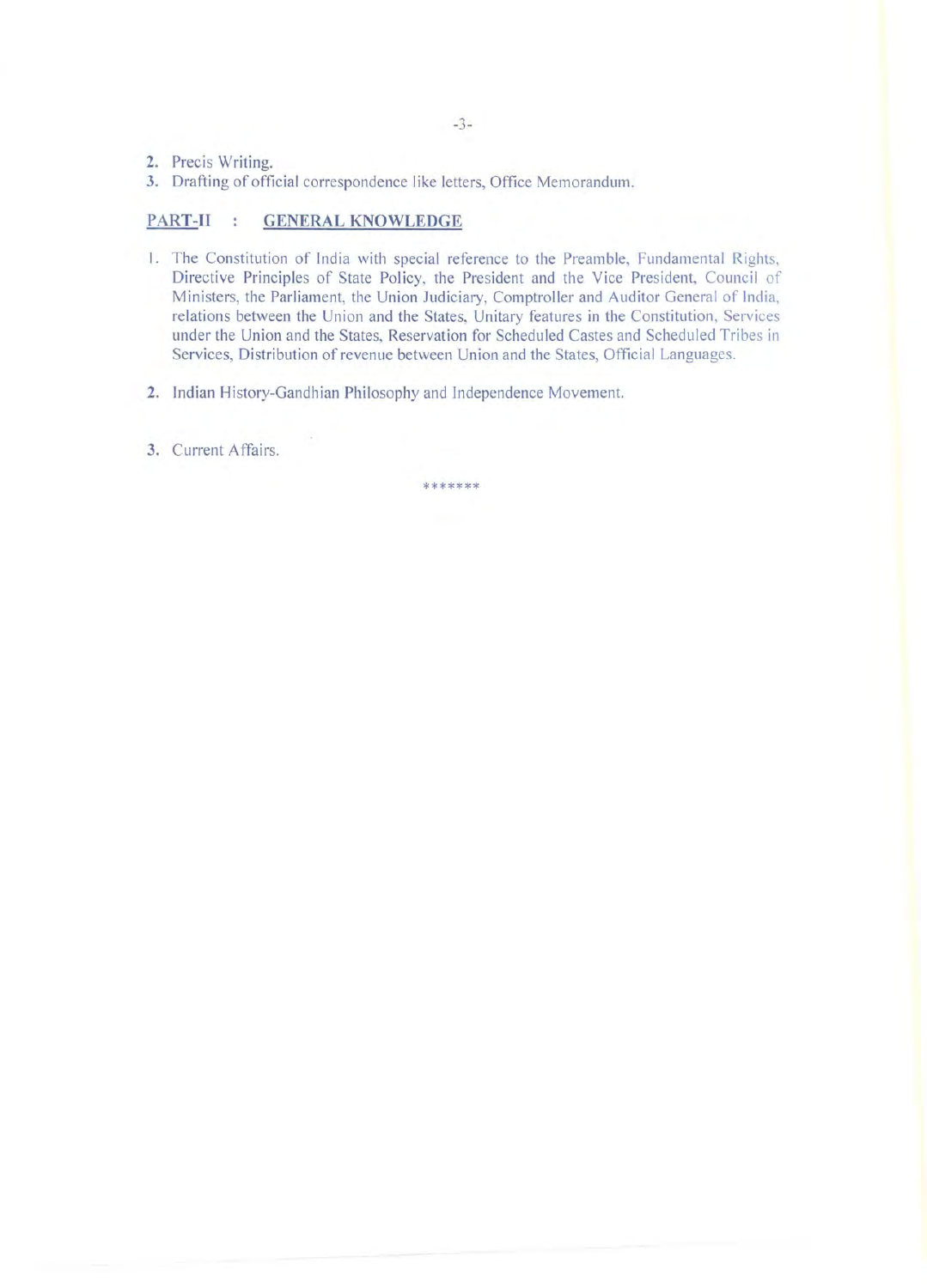- 2. Precis Writing.
- 3. Drafting of official correspondence like letters, Office Memorandum.

## **PART-II : GENERAL KNOWLEDGE**

- I. The Constitution of India with special reference to the Preamble, Fundamental Rights, Directive Principles of State Policy, the President and the Vice President, Council of Ministers, the Parliament, the Union Judiciary, Comptroller and Auditor General of India, relations between the Union and the States, Unitary features in the Constitution, Services under the Union and the States, Reservation for Scheduled Castes and Scheduled Tribes in Services, Distribution of revenue between Union and the States, Official Languages.
- 2. Indian History-Gandhian Philosophy and lndependence Movement.
- 3. Current Affairs.

\*\*\*\*\*\*\*